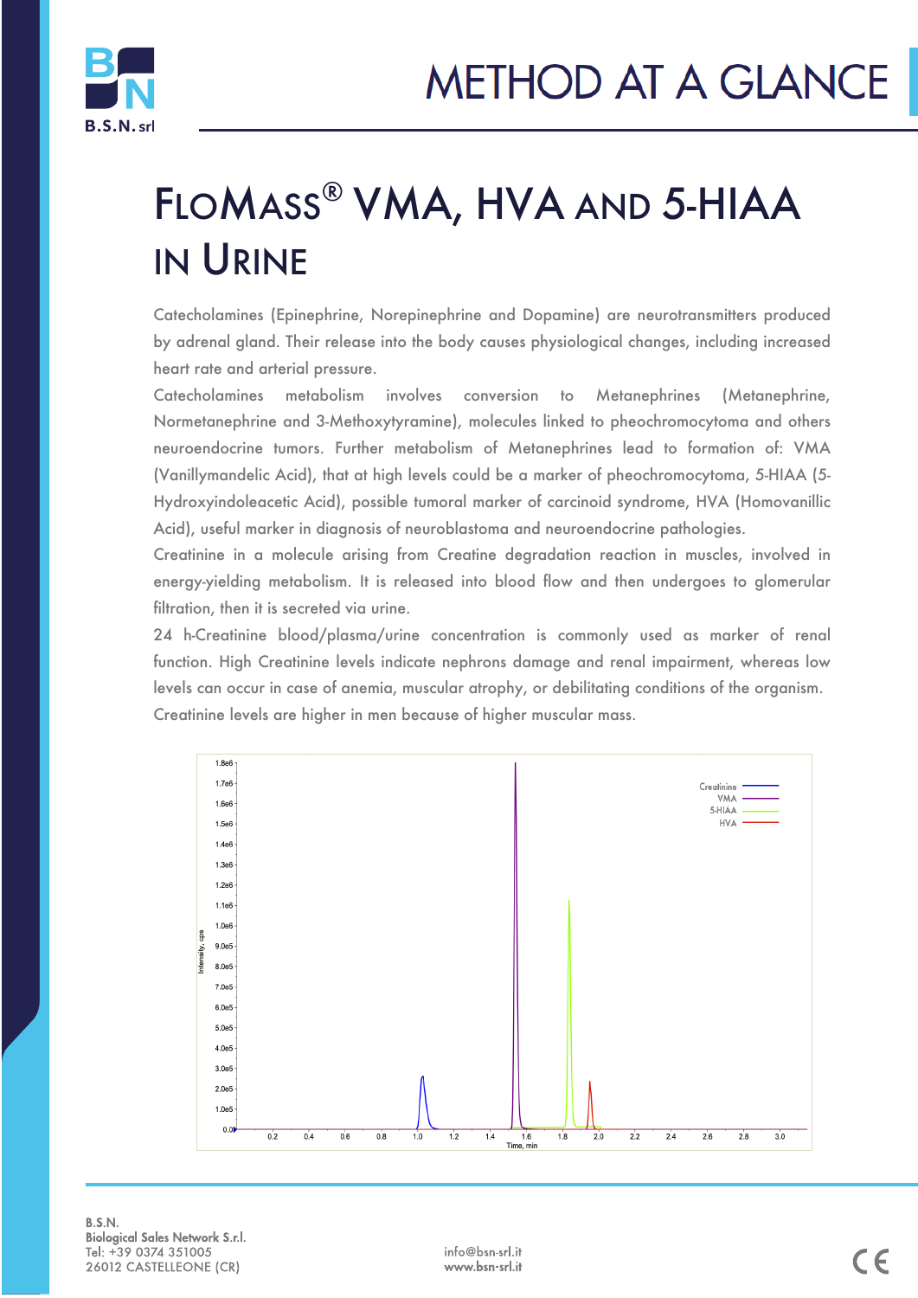

## FLOMASS® VMA, HVA AND 5-HIAA IN URINE

Catecholamines (Epinephrine, Norepinephrine and Dopamine) are neurotransmitters produced by adrenal gland. Their release into the body causes physiological changes, including increased heart rate and arterial pressure.

Catecholamines metabolism involves conversion to Metanephrines (Metanephrine, Normetanephrine and 3-Methoxytyramine), molecules linked to pheochromocytoma and others neuroendocrine tumors. Further metabolism of Metanephrines lead to formation of: VMA (Vanillymandelic Acid), that at high levels could be a marker of pheochromocytoma, 5-HIAA (5- Hydroxyindoleacetic Acid), possible tumoral marker of carcinoid syndrome, HVA (Homovanillic Acid), useful marker in diagnosis of neuroblastoma and neuroendocrine pathologies.

Creatinine in a molecule arising from Creatine degradation reaction in muscles, involved in energy-yielding metabolism. It is released into blood flow and then undergoes to glomerular filtration, then it is secreted via urine.

24 h-Creatinine blood/plasma/urine concentration is commonly used as marker of renal function. High Creatinine levels indicate nephrons damage and renal impairment, whereas low levels can occur in case of anemia, muscular atrophy, or debilitating conditions of the organism. Creatinine levels are higher in men because of higher muscular mass.



B.S.N. **Biological Sales Network S.r.l.** Tel: +39 0374 351005 26012 CASTELLEONE (CR)

j

info@bsn-srl.it www.bsn-srl.it